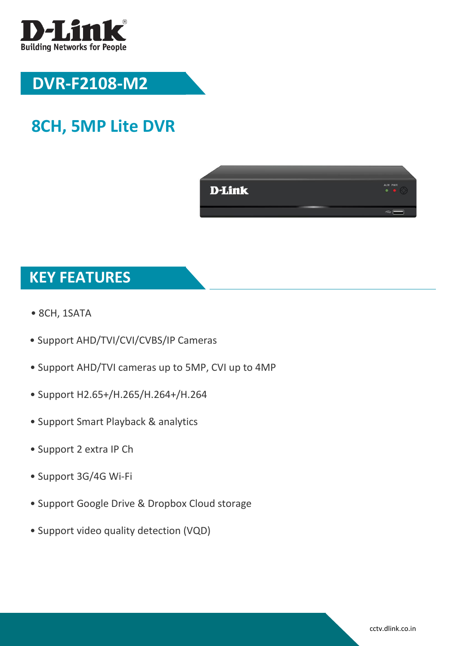

## **DVR-F2108-M2**

# **8CH, 5MP Lite DVR**



### **KEY FEATURES**

- 8CH, 1SATA
- Support AHD/TVI/CVI/CVBS/IP Cameras
- Support AHD/TVI cameras up to 5MP, CVI up to 4MP
- Support H2.65+/H.265/H.264+/H.264
- Support Smart Playback & analytics
- Support 2 extra IP Ch
- Support 3G/4G Wi-Fi
- Support Google Drive & Dropbox Cloud storage
- Support video quality detection (VQD)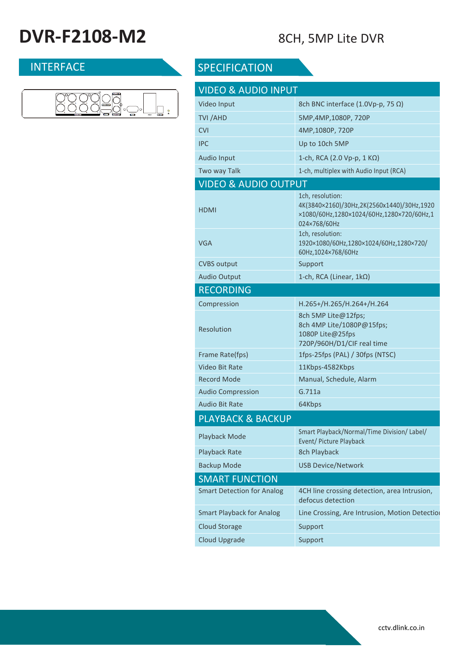# **DVR-F2108-M2** 8CH, 5MP Lite DVR



### INTERFACE SPECIFICATION

| <b>VIDEO &amp; AUDIO INPUT</b>    |                                                                                                                             |
|-----------------------------------|-----------------------------------------------------------------------------------------------------------------------------|
| Video Input                       | 8ch BNC interface (1.0Vp-p, 75 Ω)                                                                                           |
| TVI /AHD                          | 5MP,4MP,1080P, 720P                                                                                                         |
| <b>CVI</b>                        | 4MP, 1080P, 720P                                                                                                            |
| <b>IPC</b>                        | Up to 10ch 5MP                                                                                                              |
| <b>Audio Input</b>                | 1-ch, RCA (2.0 Vp-p, 1 KΩ)                                                                                                  |
| Two way Talk                      | 1-ch, multiplex with Audio Input (RCA)                                                                                      |
| <b>VIDEO &amp; AUDIO OUTPUT</b>   |                                                                                                                             |
| HDMI                              | 1ch, resolution:<br>4K(3840×2160)/30Hz,2K(2560x1440)/30Hz,1920<br>×1080/60Hz,1280×1024/60Hz,1280×720/60Hz,1<br>024×768/60Hz |
| VGA                               | 1ch, resolution:<br>1920×1080/60Hz,1280×1024/60Hz,1280×720/<br>60Hz,1024×768/60Hz                                           |
| <b>CVBS output</b>                | Support                                                                                                                     |
| <b>Audio Output</b>               | 1-ch, RCA (Linear, $1k\Omega$ )                                                                                             |
| <b>RECORDING</b>                  |                                                                                                                             |
| Compression                       | H.265+/H.265/H.264+/H.264                                                                                                   |
| <b>Resolution</b>                 | 8ch 5MP Lite@12fps;<br>8ch 4MP Lite/1080P@15fps;<br>1080P Lite@25fps<br>720P/960H/D1/CIF real time                          |
| Frame Rate(fps)                   | 1fps-25fps (PAL) / 30fps (NTSC)                                                                                             |
| Video Bit Rate                    | 11Kbps-4582Kbps                                                                                                             |
| <b>Record Mode</b>                | Manual, Schedule, Alarm                                                                                                     |
| <b>Audio Compression</b>          | G.711a                                                                                                                      |
| <b>Audio Bit Rate</b>             | 64Kbps                                                                                                                      |
| PLAYBACK & BACKUP                 |                                                                                                                             |
| Playback Mode                     | Smart Playback/Normal/Time Division/ Label/<br>Event/ Picture Playback                                                      |
| <b>Playback Rate</b>              | 8ch Playback                                                                                                                |
| <b>Backup Mode</b>                | <b>USB Device/Network</b>                                                                                                   |
| <b>SMART FUNCTION</b>             |                                                                                                                             |
| <b>Smart Detection for Analog</b> | 4CH line crossing detection, area Intrusion,<br>defocus detection                                                           |
| <b>Smart Playback for Analog</b>  | Line Crossing, Are Intrusion, Motion Detection                                                                              |
| <b>Cloud Storage</b>              | Support                                                                                                                     |
| <b>Cloud Upgrade</b>              | Support                                                                                                                     |